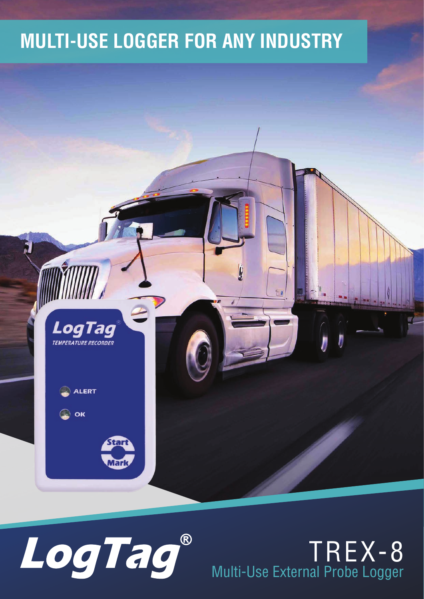### **MULTI-USE LOGGER FOR ANY INDUSTRY**



LoaTad

**ALERT** 

ОK

### TREX-8 Multi-Use External Probe Logger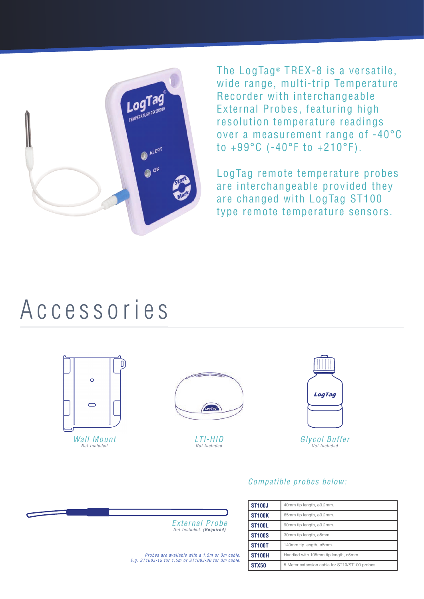

The LogTag<sup>®</sup> TREX-8 is a versatile, wide range, multi-trip Temperature Recorder with interchangeable External Probes, featuring high resolution temperature readings over a measurement range of -40°C to +99°C (-40°F to +210°F).

LogTag remote temperature probes are interchangeable provided they are changed with LogTag ST100 type remote temperature sensors.

### Accessories





LTI-HID Not Included



#### Compatible probes below:



Probes are available with a 1.5m or 3m cable. E.g. ST100J-15 for 1.5m or ST100J-30 for 3m cable.

| <b>ST100J</b> | 40mm tip length, ø3.2mm.                       |
|---------------|------------------------------------------------|
| <b>ST100K</b> | 65mm tip length, ø3.2mm.                       |
| <b>ST100L</b> | 90mm tip length, ø3.2mm.                       |
| <b>ST100S</b> | 30mm tip length, ø5mm.                         |
| <b>ST100T</b> | 140mm tip length, ø5mm.                        |
| <b>ST100H</b> | Handled with 105mm tip length, ø5mm.           |
| STX50         | 5 Meter extension cable for ST10/ST100 probes. |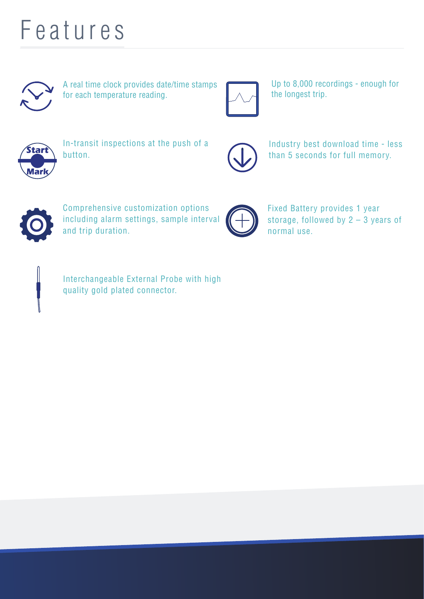## Features



A real time clock provides date/time stamps for each temperature reading.



Up to 8,000 recordings - enough for the longest trip.



In-transit inspections at the push of a button.



Industry best download time - less than 5 seconds for full memory.



Comprehensive customization options including alarm settings, sample interval and trip duration.



Fixed Battery provides 1 year storage, followed by 2 – 3 years of normal use.



Interchangeable External Probe with high quality gold plated connector.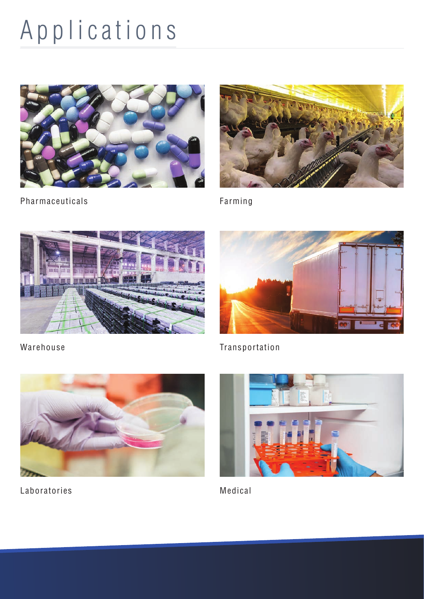# Applications





Pharmaceuticals

Farming





Warehouse





Laboratories



Medical